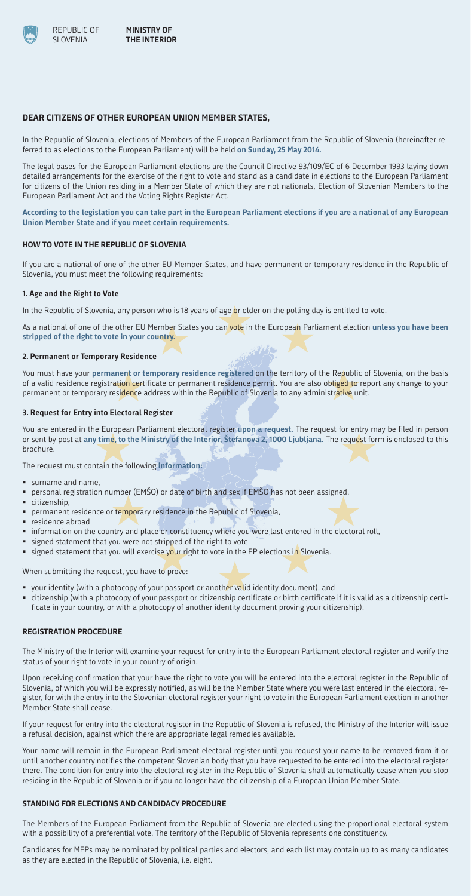# **DEAR CITIZENS OF OTHER EUROPEAN UNION MEMBER STATES,**

In the Republic of Slovenia, elections of Members of the European Parliament from the Republic of Slovenia (hereinafter referred to as elections to the European Parliament) will be held **on Sunday, 25 May 2014.**

The legal bases for the European Parliament elections are the Council Directive 93/109/EC of 6 December 1993 laying down detailed arrangements for the exercise of the right to vote and stand as a candidate in elections to the European Parliament for citizens of the Union residing in a Member State of which they are not nationals, Election of Slovenian Members to the European Parliament Act and the Voting Rights Register Act.

You must have your **permanent or temporary residence registered** on the territory of the Republic of Slovenia, on the basis of a valid residence registration certificate or permanent residence permit. You are also obliged to report any change to your permanent or temporary residence address within the Republic of Slovenia to any administrative unit.

**According to the legislation you can take part in the European Parliament elections if you are a national of any European Union Member State and if you meet certain requirements.** 

# **HOW TO VOTE IN THE REPUBLIC OF SLOVENIA**

If you are a national of one of the other EU Member States, and have permanent or temporary residence in the Republic of Slovenia, you must meet the following requirements:

### **1. Age and the Right to Vote**

In the Republic of Slovenia, any person who is 18 years of age or older on the polling day is entitled to vote.

As a national of one of the other EU Member States you can vote in the European Parliament election **unless you have been stripped of the right to vote in your country.**

 $\mathcal{F}/\mathcal{F}$ 

#### **2. Permanent or Temporary Residence**

- your identity (with a photocopy of your passport or another valid identity document), and
- citizenship (with a photocopy of your passport or citizenship certificate or birth certificate if it is valid as a citizenship certificate in your country, or with a photocopy of another identity document proving your citizenship).

# **3. Request for Entry into Electoral Register**

You are entered in the European Parliament electoral register **upon a request.** The request for entry may be filed in person or sent by post at **any time, to the Ministry of the Interior, Štefanova 2, 1000 Ljubljana.** The request form is enclosed to this brochure.

The request must contain the following **information:** 

- surname and name,
- personal registration number (EMŠO) or date of birth and sex if EMŠO has not been assigned,
- citizenship.
- permanent residence or temporary residence in the Republic of Slovenia,
- residence abroad
- information on the country and place or constituency where you were last entered in the electoral roll,
- signed statement that you were not stripped of the right to vote
- **signed statement that you will exercise your right to vote in the EP elections in Slovenia.**

When submitting the request, you have to prove:

# **REGISTRATION PROCEDURE**

The Ministry of the Interior will examine your request for entry into the European Parliament electoral register and verify the status of your right to vote in your country of origin.

Upon receiving confirmation that your have the right to vote you will be entered into the electoral register in the Republic of Slovenia, of which you will be expressly notified, as will be the Member State where you were last entered in the electoral register, for with the entry into the Slovenian electoral register your right to vote in the European Parliament election in another Member State shall cease.

If your request for entry into the electoral register in the Republic of Slovenia is refused, the Ministry of the Interior will issue a refusal decision, against which there are appropriate legal remedies available.

Your name will remain in the European Parliament electoral register until you request your name to be removed from it or until another country notifies the competent Slovenian body that you have requested to be entered into the electoral register there. The condition for entry into the electoral register in the Republic of Slovenia shall automatically cease when you stop residing in the Republic of Slovenia or if you no longer have the citizenship of a European Union Member State.

## **STANDING FOR ELECTIONS AND CANDIDACY PROCEDURE**

The Members of the European Parliament from the Republic of Slovenia are elected using the proportional electoral system with a possibility of a preferential vote. The territory of the Republic of Slovenia represents one constituency.

Candidates for MEPs may be nominated by political parties and electors, and each list may contain up to as many candidates as they are elected in the Republic of Slovenia, i.e. eight.